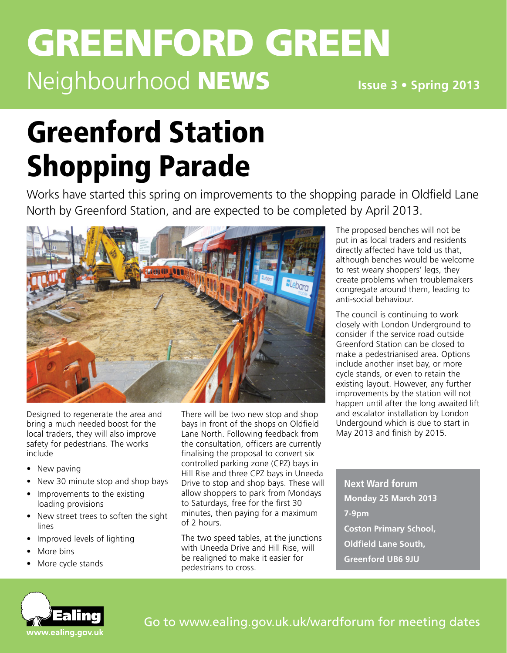# **GREENFORD GREEN** Neighbourhood NEWS

**Issue 3 • Spring 2013**

# Greenford Station Shopping Parade

Works have started this spring on improvements to the shopping parade in Oldfield Lane North by Greenford Station, and are expected to be completed by April 2013.



Designed to regenerate the area and bring a much needed boost for the local traders, they will also improve safety for pedestrians. The works include

- New paving
- New 30 minute stop and shop bays
- Improvements to the existing loading provisions
- New street trees to soften the sight lines
- • Improved levels of lighting
- More bins
- More cycle stands

There will be two new stop and shop bays in front of the shops on Oldfield Lane North. Following feedback from the consultation, officers are currently finalising the proposal to convert six controlled parking zone (CPZ) bays in Hill Rise and three CPZ bays in Uneeda Drive to stop and shop bays. These will allow shoppers to park from Mondays to Saturdays, free for the first 30 minutes, then paying for a maximum of 2 hours.

The two speed tables, at the junctions with Uneeda Drive and Hill Rise, will be realigned to make it easier for pedestrians to cross.

The proposed benches will not be put in as local traders and residents directly affected have told us that, although benches would be welcome to rest weary shoppers' legs, they create problems when troublemakers congregate around them, leading to anti-social behaviour.

The council is continuing to work closely with London Underground to consider if the service road outside Greenford Station can be closed to make a pedestrianised area. Options include another inset bay, or more cycle stands, or even to retain the existing layout. However, any further improvements by the station will not happen until after the long awaited lift and escalator installation by London Undergound which is due to start in May 2013 and finish by 2015.

**Next Ward forum Monday 25 March 2013 7-9pm Coston Primary School, Oldfield Lane South, Greenford UB6 9JU**

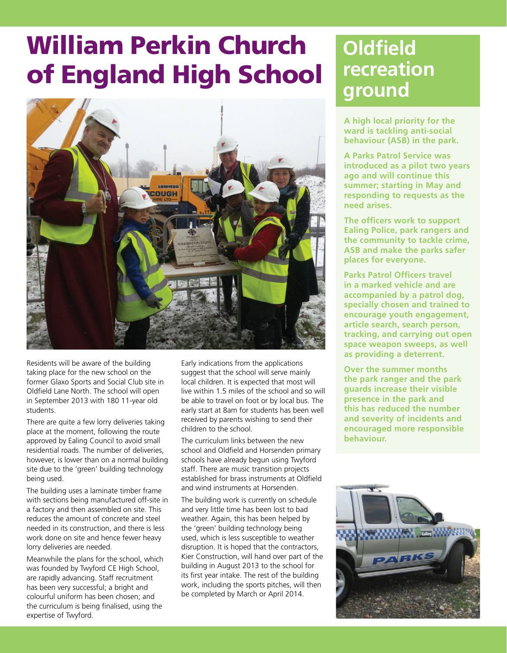# William Perkin Church of England High School



Residents will be aware of the building taking place for the new school on the former Glaxo Sports and Social Club site in Oldfield Lane North. The school will open in September 2013 with 180 11-year old students.

There are quite a few lorry deliveries taking place at the moment, following the route approved by Ealing Council to avoid small residential roads. The number of deliveries, however, is lower than on a normal building site due to the 'green' building technology being used.

The building uses a laminate timber frame with sections being manufactured off-site in a factory and then assembled on site. This reduces the amount of concrete and steel needed in its construction, and there is less work done on site and hence fewer heavy lorry deliveries are needed.

Meanwhile the plans for the school, which was founded by Twyford CE High School, are rapidly advancing. Staff recruitment has been very successful; a bright and colourful uniform has been chosen; and the curriculum is being finalised, using the expertise of Twyford.

Early indications from the applications suggest that the school will serve mainly local children. It is expected that most will live within 1.5 miles of the school and so will be able to travel on foot or by local bus. The early start at 8am for students has been well received by parents wishing to send their children to the school.

The curriculum links between the new school and Oldfield and Horsenden primary schools have already begun using Twyford staff. There are music transition projects established for brass instruments at Oldfield and wind instruments at Horsenden.

The building work is currently on schedule and very little time has been lost to bad weather. Again, this has been helped by the 'green' building technology being used, which is less susceptible to weather disruption. It is hoped that the contractors, Kier Construction, will hand over part of the building in August 2013 to the school for its first year intake. The rest of the building work, including the sports pitches, will then be completed by March or April 2014.

# **Oldfield recreation ground**

**A high local priority for the ward is tackling anti-social behaviour (ASB) in the park.** 

**A Parks Patrol Service was introduced as a pilot two years ago and will continue this summer; starting in May and responding to requests as the need arises.** 

**The officers work to support Ealing Police, park rangers and the community to tackle crime, ASB and make the parks safer places for everyone.** 

**Parks Patrol Officers travel in a marked vehicle and are accompanied by a patrol dog, specially chosen and trained to encourage youth engagement, article search, search person, tracking, and carrying out open space weapon sweeps, as well as providing a deterrent.** 

**Over the summer months the park ranger and the park guards increase their visible presence in the park and this has reduced the number and severity of incidents and encouraged more responsible behaviour.**

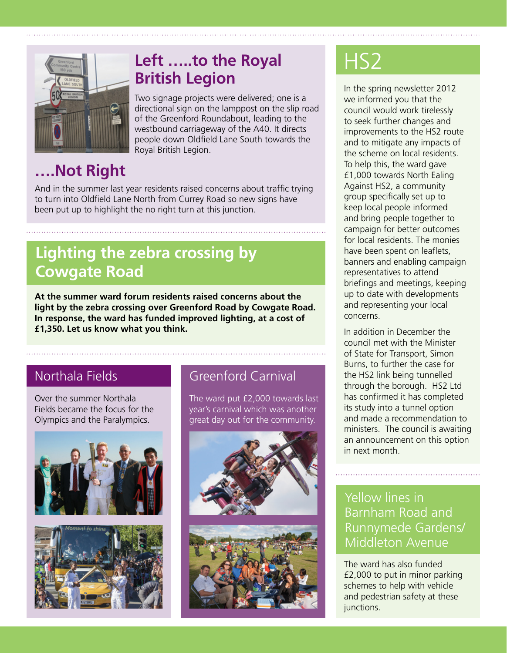

# **Left …..to the Royal**  HS2 **British Legion**

Two signage projects were delivered; one is a directional sign on the lamppost on the slip road of the Greenford Roundabout, leading to the westbound carriageway of the A40. It directs people down Oldfield Lane South towards the Royal British Legion.

# **….Not Right**

And in the summer last year residents raised concerns about traffic trying to turn into Oldfield Lane North from Currey Road so new signs have been put up to highlight the no right turn at this junction.

# **Lighting the zebra crossing by Cowgate Road**

**At the summer ward forum residents raised concerns about the light by the zebra crossing over Greenford Road by Cowgate Road. In response, the ward has funded improved lighting, at a cost of £1,350. Let us know what you think.**

Over the summer Northala Fields became the focus for the Olympics and the Paralympics.





## Northala Fields **Greenford Carnival**

The ward put £2,000 towards last year's carnival which was another great day out for the community.





In the spring newsletter 2012 we informed you that the council would work tirelessly to seek further changes and improvements to the HS2 route and to mitigate any impacts of the scheme on local residents. To help this, the ward gave £1,000 towards North Ealing Against HS2, a community group specifically set up to keep local people informed and bring people together to campaign for better outcomes for local residents. The monies have been spent on leaflets, banners and enabling campaign representatives to attend briefings and meetings, keeping up to date with developments and representing your local concerns.

In addition in December the council met with the Minister of State for Transport, Simon Burns, to further the case for the HS2 link being tunnelled through the borough. HS2 Ltd has confirmed it has completed its study into a tunnel option and made a recommendation to ministers. The council is awaiting an announcement on this option in next month.

### Yellow lines in Barnham Road and Runnymede Gardens/ Middleton Avenue

The ward has also funded £2,000 to put in minor parking schemes to help with vehicle and pedestrian safety at these junctions.